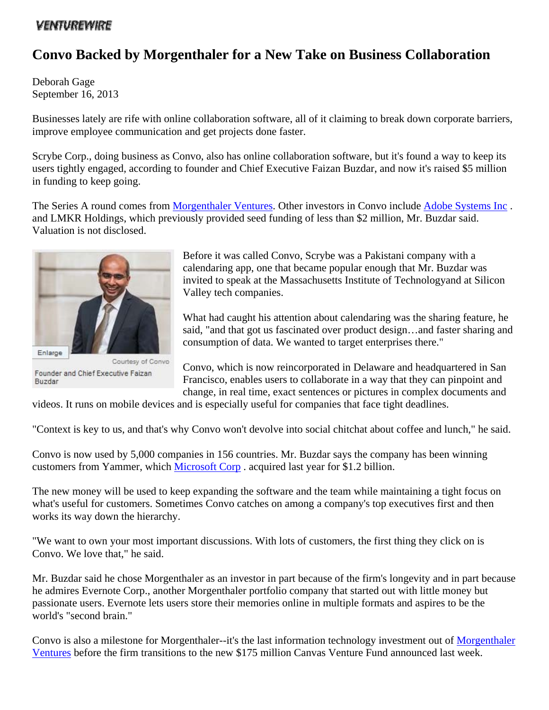## *VENTUREWIRE*

## **Convo Backed by Morgenthaler for a New Take on Business Collaboration**

Deborah Gage September 16, 2013

Businesses lately are rife with online collaboration software, all of it claiming to break down corporate barriers, improve employee communication and get projects done faster.

Scrybe Corp., doing business as Convo, also has online collaboration software, but it's found a way to keep its users tightly engaged, according to founder and Chief Executive Faizan Buzdar, and now it's raised \$5 million in funding to keep going.

The Series A round comes from Morgenthaler Ventures. Other investors in Convo include Adobe Systems Inc. and LMKR Holdings, which previously provided seed funding of less than \$2 million, Mr. Buzdar said. Valuation is not disclosed.



Courtesy of Convo Founder and Chief Executive Faizan Buzdar

Before it was called Convo, Scrybe was a Pakistani company with a calendaring app, one that became popular enough that Mr. Buzdar was invited to speak at the Massachusetts Institute of Technologyand at Silicon Valley tech companies.

What had caught his attention about calendaring was the sharing feature, he said, "and that got us fascinated over product design…and faster sharing and consumption of data. We wanted to target enterprises there."

Convo, which is now reincorporated in Delaware and headquartered in San Francisco, enables users to collaborate in a way that they can pinpoint and change, in real time, exact sentences or pictures in complex documents and

videos. It runs on mobile devices and is especially useful for companies that face tight deadlines.

"Context is key to us, and that's why Convo won't devolve into social chitchat about coffee and lunch," he said.

Convo is now used by 5,000 companies in 156 countries. Mr. Buzdar says the company has been winning customers from Yammer, which Microsoft Corp . acquired last year for \$1.2 billion.

The new money will be used to keep expanding the software and the team while maintaining a tight focus on what's useful for customers. Sometimes Convo catches on among a company's top executives first and then works its way down the hierarchy.

"We want to own your most important discussions. With lots of customers, the first thing they click on is Convo. We love that," he said.

Mr. Buzdar said he chose Morgenthaler as an investor in part because of the firm's longevity and in part because he admires Evernote Corp., another Morgenthaler portfolio company that started out with little money but passionate users. Evernote lets users store their memories online in multiple formats and aspires to be the world's "second brain."

Convo is also a milestone for Morgenthaler--it's the last information technology investment out of Morgenthaler Ventures before the firm transitions to the new \$175 million Canvas Venture Fund announced last week.